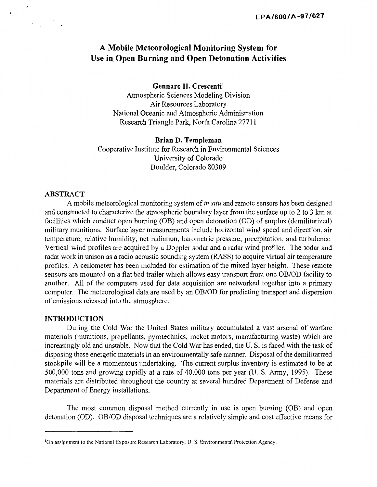# **A Mobile Meteorological Monitoring System for Use in\_ Open Burning and Open Detonation Activities**

**Gennaro H. Crescenti <sup>1</sup>** Atmospheric Sciences Modeling Division Air Resources Laboratory National Oceanic and Atmospheric Administration Research Triangle Park, North Carolina 27711

#### **Brian D. Templeman**

Cooperative Institute for Research in Environmental Sciences University of Colorado Boulder, Colorado 80309

## **ABSTRACT**

 $\mathbf{r}$ 

A mobile meteorological monitoring system of *in situ* and remote sensors has been designed and constructed to characterize the atmospheric boundary layer from the surface up to 2 to 3 km at facilities which conduct open burning (OB) and open detonation (OD) of surplus (demilitarized) military munitions. Surface layer measurements include horizontal wind speed and direction, air temperature, relative humidity, net radiation, barometric pressure, precipitation, and turbulence. Vertical wind profiles are acquired by a Doppler sodar and a radar wind profiler. The sodar and radar work in unison as a radio acoustic sounding system (RASS) to acquire virtual air temperature profiles. A ceilometer has been included for estimation of the mixed layer height. These remote sensors are mounted on a flat bed trailer which allows easy transport from one OB/OD facility to another. All of the computers used for data acquisition are networked together into a primary computer. The meteorological data are used by an OB/OD for predicting transport and dispersion of emissions released into the atmosphere.

## **INTRODUCTION**

During the Cold War the United States military accumulated a vast arsenal of warfare materials (munitions, propellants, pyrotechnics, rocket motors, manufacturing waste) which arc increasingly old and unstable. Now that the Cold War has ended, the U. S. is faced with the task of disposing these energetic materials in an environmentally safe manner. Disposal of the demilitarized stockpile will be a momentous undertaking. The current surplus inventory is estimated to be at 500,000 tons and growing rapidly at a rate of 40,000 tons per year (U. S. Army, 1995). These materials are distributed throughout the country at several hundred Department of Defense and Department of Energy installations.

The most common disposal method currently in use is open burning (OB) and open detonation (OD). OB/OD disposal techniques are a relatively simple and cost effective means for

<sup>1</sup> On assignment to the National Exposure Research Laboratory, U. S. Environmental Protection Agency.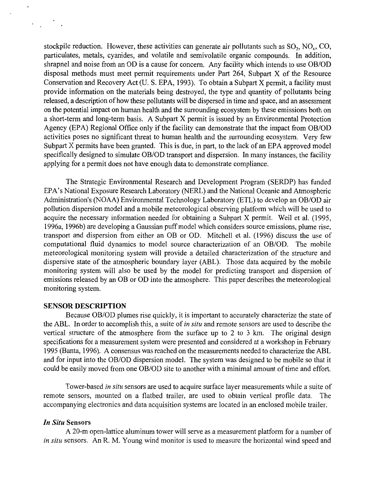stockpile reduction. However, these activities can generate air pollutants such as  $SO_2$ ,  $NO_x$ ,  $CO$ , particulates, metals, cyanides, and volatile and semivolatile organic compounds. In addition, shrapnel and noise from an OD is a cause for concern. Any facility which intends to use OB/OD disposal methods must meet permit requirements under Part 264, Subpart X of the Resource Conservation and Recovery Act (U. S. EPA, 1993). To obtain a Subpart X permit, a facility must provide information on the materials being destroyed, the type and quantity of pollutants being released, a description of how these pollutants will be dispersed in time and space, and an assessment on the potential impact on human health and the surrounding ecosystem by these emissions both on a short-term and long-term basis. A Subpart X permit is issued by an Environmental Protection Agency (EPA) Regional Office only if the facility can demonstrate that the impact from OB/OD activities poses no significant threat to human health and the surrounding ecosystem. Very few Subpart X permits have been granted. This is due, in part, to the lack of an EPA approved model specifically designed to simulate OB/OD transport and dispersion. In many instances, the facility applying for a permit does not have enough data to demonstrate compliance.

The Strategic Environmental Research and Development Program (SERDP) has funded EPA's National Exposure Research Laboratory (NERL) and the National Oceanic and Atmospheric Administration's (NOAA) Environmental Technology Laboratory (ETL) to develop an OB/OD air pollution dispersion model and a mobile meteorological observing platform which will be used to acquire the necessary information needed for obtaining a Subpart X permit. Weil et al. (1995, 1996a, 1996b) are developing a Gaussian puff model which considers source emissions, plume rise, transport and dispersion from either an OB or OD. Mitchell et al. (1996) discuss the use of computational fluid dynamics to model source characterization of an OB/OD. The mobile meteorological monitoring system will provide a detailed characterization of the structure and dispersive state of the atmospheric boundary layer (ABL). Those data acquired by the mobile monitoring system will also be used by the model for predicting transport and dispersion of emissions released by an OB or OD into the atmosphere. This paper describes the meteorological monitoring system.

## **SENSOR DESCRIPTION**

Because OB/OD plumes rise quickly, it is important to accurately characterize the state of the ABL. In order to accomplish this, a suite of *in situ* and remote sensors are used to describe the vertical structure of the atmosphere from the surface up to 2 to 3 km. The original design specifications for a measurement system were presented and considered at a workshop in February 1995 (Banta, 1996). A consensus was reached on the measurements needed to characterize the ABL and for input into the OB/OD dispersion model. The system was designed to be mobile so that it could be easily moved from one OB/OD site to another with a minimal amount of time and effort.

Tower-based *in situ* sensors are used to acquire surface layer measurements while a suite of remote sensors, mounted on a flatbed trailer, are used to obtain vertical profile data. The accompanying electronics and data acquisition systems are located in an enclosed mobile trailer.

#### *In Situ* **Sensors**

A 20-m open-lattice aluminum tower will serve as a measurement platform for a number of *in situ* sensors. An R. M. Young wind monitor is used to measure the horizontal wind speed and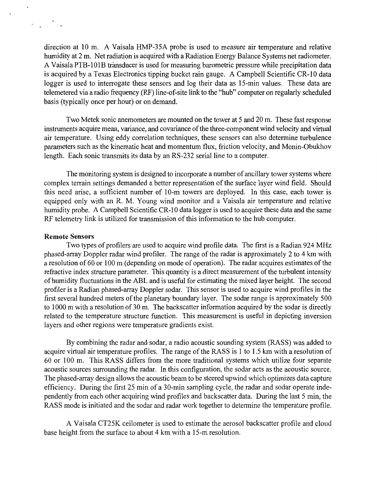direction at 10 m. A Vaisala HMP-35A probe is used to measure air temperature and relative humidity at 2 m. Net radiation is acquired with a Radiation Energy Balance Systems net radiometer. A Vaisala PTB-101B transducer is used for measuring barometric pressure while precipitation data is acquired by a Texas Electronics tipping bucket rain gauge. A Campbell Scientific CR-10 data logger is used to interrogate these sensors and log their data as 15-min values. These data are telemetered via a radio frequency (RF) line-of-site link to the "hub" computer on regularly scheduled basis (typically once per hour) or on demand.

Two Metek sonic anemometers are mounted on the tower at 5 and 20 m. These fast response instruments acquire mean, variance, and covariance of the three-component wind velocity and virtual air temperature. Using eddy correlation techniques, these sensors can also determine turbulence parameters such as the kinematic heat and momentum flux, friction velocity, and Monin-Obukhov length. Each sonic transmits its data by an RS-232 serial line to a computer.

The monitoring system is designed to incorporate a number of ancillary tower systems where complex terrain settings demanded a better representation of the surface layer wind field. Should this need arise, a sufficient number of 10-m towers are deployed. In this case, each tower is equipped only with an R. M. Young wind monitor and a Vaisala air temperature and relative humidity probe. A Campbell Scientific CR-10 data logger is used to acquire these data and the same RF telemetry link is utilized for transmission of this information to the hub computer.

### **Remote Sensors**

 $\mathcal{L}_{\text{max}}$  ,  $\mathcal{L}_{\text{max}}$ 

Two types of profilers are used to acquire wind profile data. The first is a Radian 924 MHz phased-array Doppler radar wind profiler. The range of the radar is approximately 2 to 4 km with a resolution of 60 or 100 m (depending on mode of operation). The radar acquires estimates of the refractive index structure parameter. This quantity is a direct measurement of the turbulent intensity of humidity fluctuations in the ABL and is useful for estimating the mixed layer height. The second profiler is a Radian phased-array Doppler sodar. This sensor is used to acquire wind profiles in the first several hundred meters of the planetary boundary layer. The sodar range is approximately 500 to 1000 m with a resolution of 30 m. The backscatter information acquired by the sodar is directly related to the temperature structure function. This measurement is useful in depicting inversion layers and other regions were temperature gradients exist.

By combining the radar and sodar, a radio acoustic sounding system (RASS) was added to acquire virtual air temperature profiles. The range of the RASS is 1 to 1.5 km with a resolution of 60 or 100 m. This RASS differs from the more traditional systems which utilize four separate acoustic sources surrounding the radar. In this configuration, the sodar acts as the acoustic source. The phased-array design allows the acoustic beam to be steered upwind which optimizes data capture efficiency. During the first 25 min of a 30-min sampling cycle, the radar and sodar operate independently from each other acquiring wind profiles and backscatter data. During the last 5 min, the RASS mode is initiated and the sodar and radar work together to determine the temperature profile.

A Vaisala CT25K ceilometer is used to estimate the aerosol backscatter profile and cloud base height from the surface to about 4 km with a 15-m resolution.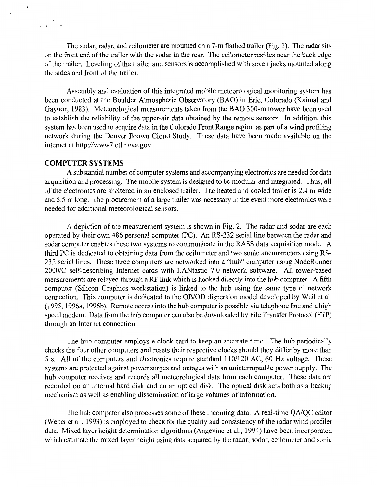The sodar, radar, and ceilometer are mounted on a 7-m flatbed trailer (Fig. 1). The radar sits on the front end of the trailer with the sodar in the rear. The ceilometer resides near the back edge of the trailer. Leveling of the trailer and sensors is accomplished with seven jacks mounted along the sides and front of the trailer.

Assembly and evaluation of this integrated mobile meteorological monitoring system has been conducted at the Boulder Atmospheric Observatory (BAO) in Erie, Colorado (Kaimal and Gaynor, 1983). Meteorological measurements taken from the BAO 300-m tower have been used to establish the reliability of the upper-air data obtained by the remote sensors. In addition, this system has been used to acquire data in the Colorado Front Range region as part of a wind profiling network during the Denver Brown Cloud Study. These data have been made available on the internet at http://www7.et1.noaa.gov.

#### **COMPUTER SYSTEMS**

 $\mathcal{L}_{\text{max}}$  ,  $\mathcal{L}_{\text{max}}$ 

A substantial number of computer systems and accompanying electronics are needed for data acquisition and processing. The mobile system is designed to be modular and integrated. Thus, all of the electronics are sheltered in an enclosed trailer. The heated and cooled trailer is 2.4 m wide and 5.5 m long. The procurement of a large trailer was necessary in the event more electronics were needed for additional meteorological sensors.

A depiction of the measurement system is shown in Fig. 2. The radar and sodar are each operated by their own 486 personal computer (PC). An RS-232 serial line between the radar and sodar computer enables these two systems to communicate in the RASS data acquisition mode. A third PC is dedicated to obtaining data from the ceilometer and two sonic anemometers using RS-232 serial lines. These three computers are networked into a "hub" computer using NodeRunner 2000/C self-describing Internet cards with LANtastic 7.0 network software. All tower-based measurements are relayed through a RF link which is hooked directly into the hub computer. A fifth computer (Silicon Graphics workstation) is linked to the hub using the same type of network connection. This computer is dedicated to the OB/OD dispersion model developed by Weil et al. (1995, 1996a, 1996b). Remote access into the hub computer is possible via telephone line and a high speed modem. Data from the hub computer can also be downloaded by File Transfer Protocol (FTP) through an Internet connection.

The hub computer employs a clock card to keep an accurate time. The hub periodically checks the four other computers and resets their respective clocks should they differ by more than 5 s. All of the computers and electronics require standard 110/120 AC, 60 Hz voltage. These systems are protected against power surges and outages with an uninterruptable power supply. The hub computer receives and records all meteorological data from each computer. These data are recorded on an internal hard disk and on an optical disk. The optical disk acts both as a backup mechanism as well as enabling dissemination of large volumes of information.

The hub computer also processes some of these incoming data. A real-time *QNQC* editor (Weber et al., 1993) is employed to check for the quality and consistency of the radar wind profiler data. Mixed layer height determination algorithms (Angevine et al., 1994) have been incorporated which estimate the mixed layer height using data acquired by the radar, sodar, ceilometer and sonic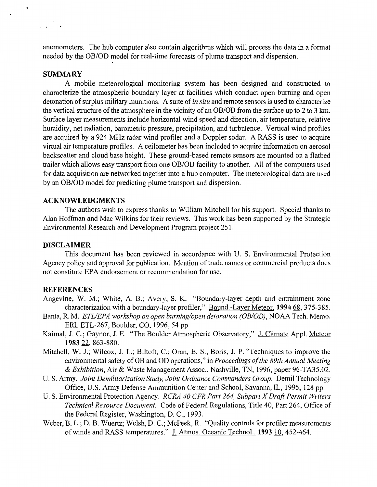anemometers. The hub computer also contain algorithms which will process the data in a format needed by the OB/OD model for real-time forecasts of plume transport and dispersion.

#### **SUMMARY**

 $\bullet$ 

A mobile meteorological monitoring system has been designed and constructed to characterize the atmospheric boundary layer at facilities which conduct open burning and open detonation of surplus military munitions. A suite of *in situ* and remote sensors is used to characterize the vertical structure of the atmosphere in the vicinity of an OB/OD from the surface up to 2 to 3 km. Surface layer measurements include horizontal wind speed and direction, air temperature, relative humidity, net radiation, barometric pressure, precipitation, and turbulence. Vertical wind profiles are acquired by a 924 MHz radar wind profiler and a Doppler sodar. A RASS is used to acquire virtual air temperature profiles. A ceilometer has been included to acquire information on aerosol backscatter and cloud base height. These ground-based remote sensors are mounted on a flatbed trailer which allows easy transport from one OB/OD facility to another. All of the computers used for data acquisition are networked together into a hub computer. The meteorological data are used by an OB/OD model for predicting plume transport and dispersion.

## **ACKNOWLEDGMENTS**

The authors wish to express thanks to William Mitchell for his support. Special thanks to Alan Hoffman and Mac Wilkins for their reviews. This work has been supported by the Strategic Environmental Research and Development Program project 251.

## **DISCLAIMER**

This document has been reviewed in accordance with U. S. Environmental Protection Agency policy and approval for publication. Mention of trade names or commercial products does not constitute EPA endorsement or recommendation for use.

#### **REFERENCES**

- Angevine, W. M.; White, A. B.; Avery, S. K. "Boundary-layer depth and entrainment zone characterization with a boundary-layer profiler," Bound.-Layer Meteor. **1994** 68, 375-385.
- Banta, R. M. *ETLIEPA workshop on open burning/open detonation (OB/OD),* NOAA Tech. Memo. ERL ETL-267, Boulder, CO, 1996, 54 pp.
- Kaimal, J. C.; Gaynor, J. E. "The Boulder Atmospheric Observatory," J. Climate Appl. Meteor **1983** 22, 863-880.
- Mitchell, W. J.; Wilcox, J. L.; Biltoft, C.; Oran, E. S.; Boris, J. P. "Techniques to improve the environmental safety of OB and OD operations," in *Proceedings of the 89th Annual Meeting & Exhibition,* Air & Waste Management Assoc., Nashville, TN, 1996, paper 96-TA35.02.
- U.S. Army. *Joint Demilitarization Study, Joint Ordnance Commanders Group.* Demit Technology Office, U.S. Army Defense Ammunition Center and School, Savanna, IL, 1995, 128 pp.
- U.S. Environmental Protection Agency. *RCRA 40 CFR Part 264, Subpart X Draft Permit Writers Technical Resource Document.* Code of Federal Regulations, Title 40, Part 264, Office of the Federal Register, Washington, D. C., 1993.
- Weber, B. L.; D. B. Wuertz; Welsh, D. C.; McPeck, R. "Quality controls for profiler measurements of winds and RASS temperatures." J. Atmos. Oceanic Technol.. 1993 10, 452-464.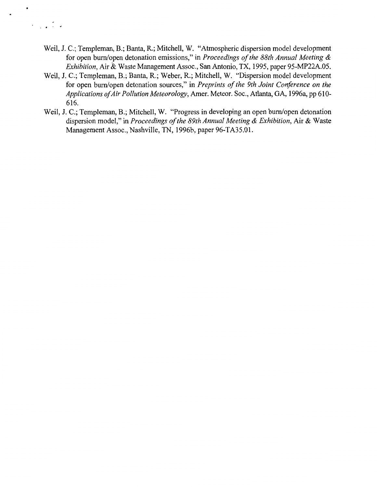Weil, J. C.; Templeman, B.; Banta, R.; Mitchell, W. "Atmospheric dispersion model development for open bum/open detonation emissions," in *Proceedings of the 88th Annual Meeting & Exhibition,* Air & Waste Management Assoc., San Antonio, TX, 1995, paper 95-MP22A.05.

 $\bullet$ 

 $\mathcal{L}_{\text{max}}$  ,  $\mathcal{L}_{\text{max}}$ 

- Weil, J.C.; Templeman, B.; Banta, R.; Weber, R.; Mitchell, W. "Dispersion model development for open bum/open detonation sources," in *Preprints of the 9th Joint Conference on the Applications of Air Pollution Meteorology,* Amer. Meteor. Soc., Atlanta, GA, 1996a, pp 610- 616.
- Weil, J.C.; Templeman, B.; Mitchell, W. "Progress in developing an open bum/open detonation dispersion model," in *Proceedings of the 89th Annual Meeting & Exhibition,* Air & Waste Management Assoc., Nashville, TN, 1996b, paper 96-TA35.0l.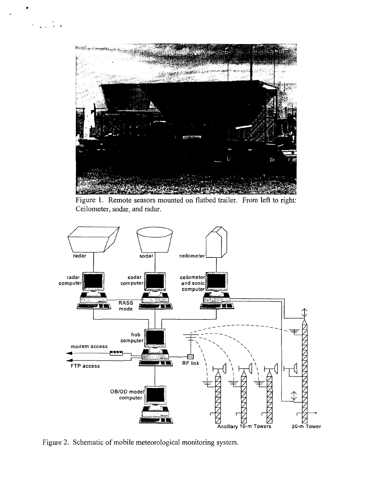

Figure 1. Remote sensors mounted on flatbed trailer. From left to right: Ceilometer, sodar, and radar.



Figure 2. Schematic of mobile meteorological monitoring system.